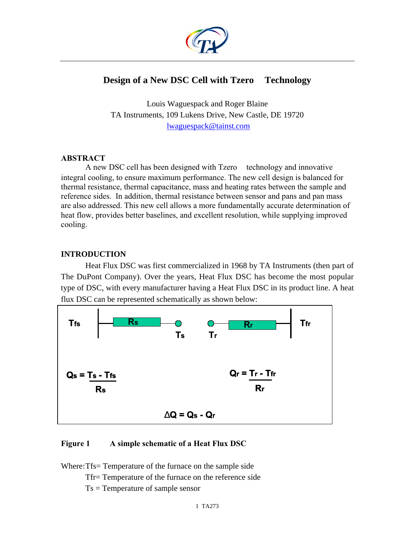

# Design of a New DSC Cell with Tzero<sup>TM</sup> Technology

Louis Waguespack and Roger Blaine TA Instruments, 109 Lukens Drive, New Castle, DE 19720 lwaguespack@tainst.com

#### **ABSTRACT**

A new DSC cell has been designed with  $Tzero^{TM}$  technology and innovative integral cooling, to ensure maximum performance. The new cell design is balanced for thermal resistance, thermal capacitance, mass and heating rates between the sample and reference sides. In addition, thermal resistance between sensor and pans and pan mass are also addressed. This new cell allows a more fundamentally accurate determination of heat flow, provides better baselines, and excellent resolution, while supplying improved cooling.

### **INTRODUCTION**

Heat Flux DSC was first commercialized in 1968 by TA Instruments (then part of The DuPont Company). Over the years, Heat Flux DSC has become the most popular type of DSC, with every manufacturer having a Heat Flux DSC in its product line. A heat flux DSC can be represented schematically as shown below:



### **Figure 1 A simple schematic of a Heat Flux DSC**

Where:Tfs= Temperature of the furnace on the sample side

Tfr= Temperature of the furnace on the reference side

Ts = Temperature of sample sensor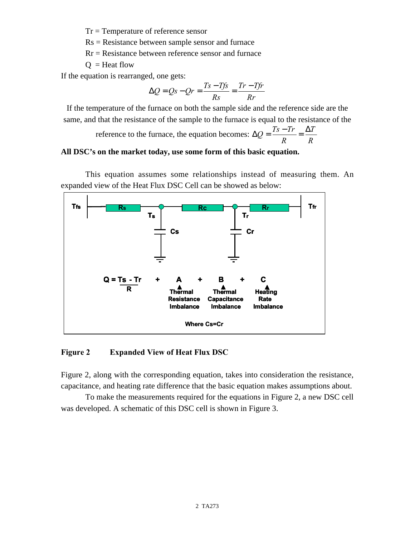Tr = Temperature of reference sensor

Rs = Resistance between sample sensor and furnace

 $Rr$  = Resistance between reference sensor and furnace

 $Q =$ Heat flow

If the equation is rearranged, one gets:

$$
\Delta Q = Qs - Qr = \frac{Ts - Tfs}{Rs} = \frac{Tr - Tfr}{Rr}
$$

If the temperature of the furnace on both the sample side and the reference side are the same, and that the resistance of the sample to the furnace is equal to the resistance of the

> reference to the furnace, the equation becomes:  $\Delta Q = \frac{T_s - T_r}{R} = \frac{\Delta T}{R}$ *R*  $\Delta Q = \frac{Ts - Tr}{r} = \frac{\Delta}{r}$

#### **All DSC's on the market today, use some form of this basic equation.**

This equation assumes some relationships instead of measuring them. An expanded view of the Heat Flux DSC Cell can be showed as below:



#### **Figure 2 Expanded View of Heat Flux DSC**

Figure 2, along with the corresponding equation, takes into consideration the resistance, capacitance, and heating rate difference that the basic equation makes assumptions about.

To make the measurements required for the equations in Figure 2, a new DSC cell was developed. A schematic of this DSC cell is shown in Figure 3.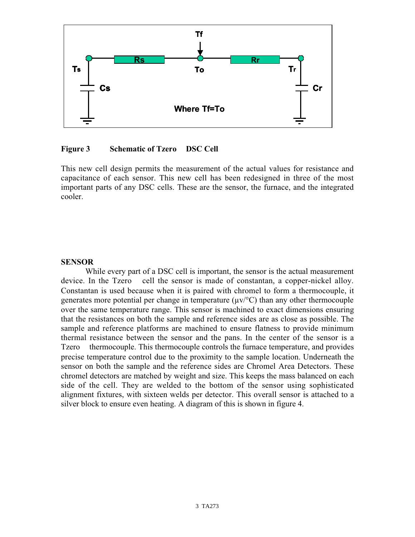

### **Figure 3** Schematic of Tzero<sup>™</sup> DSC Cell

This new cell design permits the measurement of the actual values for resistance and capacitance of each sensor. This new cell has been redesigned in three of the most important parts of any DSC cells. These are the sensor, the furnace, and the integrated cooler.

#### **SENSOR**

While every part of a DSC cell is important, the sensor is the actual measurement device. In the  $Tzero^{TM}$  cell the sensor is made of constantan, a copper-nickel alloy. Constantan is used because when it is paired with chromel to form a thermocouple, it generates more potential per change in temperature  $(\mu v)^{\circ}C$  than any other thermocouple over the same temperature range. This sensor is machined to exact dimensions ensuring that the resistances on both the sample and reference sides are as close as possible. The sample and reference platforms are machined to ensure flatness to provide minimum thermal resistance between the sensor and the pans. In the center of the sensor is a Tzero<sup> $TM$ </sup> thermocouple. This thermocouple controls the furnace temperature, and provides precise temperature control due to the proximity to the sample location. Underneath the sensor on both the sample and the reference sides are Chromel Area Detectors. These chromel detectors are matched by weight and size. This keeps the mass balanced on each side of the cell. They are welded to the bottom of the sensor using sophisticated alignment fixtures, with sixteen welds per detector. This overall sensor is attached to a silver block to ensure even heating. A diagram of this is shown in figure 4.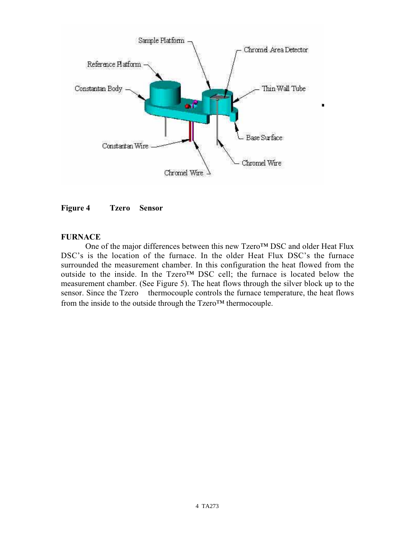



### **FURNACE**

One of the major differences between this new Tzero™ DSC and older Heat Flux DSC's is the location of the furnace. In the older Heat Flux DSC's the furnace surrounded the measurement chamber. In this configuration the heat flowed from the outside to the inside. In the Tzero™ DSC cell; the furnace is located below the measurement chamber. (See Figure 5). The heat flows through the silver block up to the sensor. Since the  $Tzero^{TM}$  thermocouple controls the furnace temperature, the heat flows from the inside to the outside through the Tzero™ thermocouple.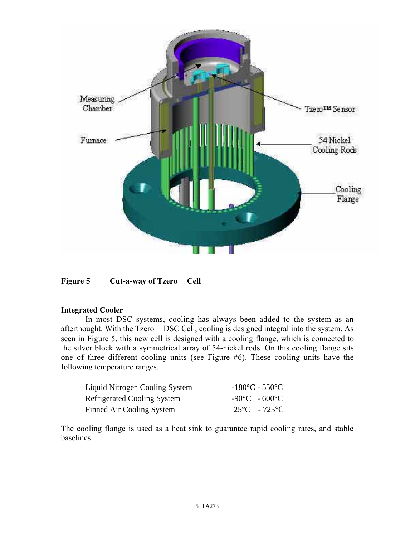

Figure 5 Cut-a-way of Tzero<sup>TM</sup> Cell

### **Integrated Cooler**

In most DSC systems, cooling has always been added to the system as an afterthought. With the  $Tzero^{TM}$  DSC Cell, cooling is designed integral into the system. As seen in Figure 5, this new cell is designed with a cooling flange, which is connected to the silver block with a symmetrical array of 54-nickel rods. On this cooling flange sits one of three different cooling units (see Figure #6). These cooling units have the following temperature ranges.

| Liquid Nitrogen Cooling System     | $-180^{\circ}$ C - 550 $^{\circ}$ C |
|------------------------------------|-------------------------------------|
| <b>Refrigerated Cooling System</b> | $-90^{\circ}$ C $-600^{\circ}$ C    |
| Finned Air Cooling System          | $25^{\circ}$ C - 725 <sup>o</sup> C |

The cooling flange is used as a heat sink to guarantee rapid cooling rates, and stable baselines.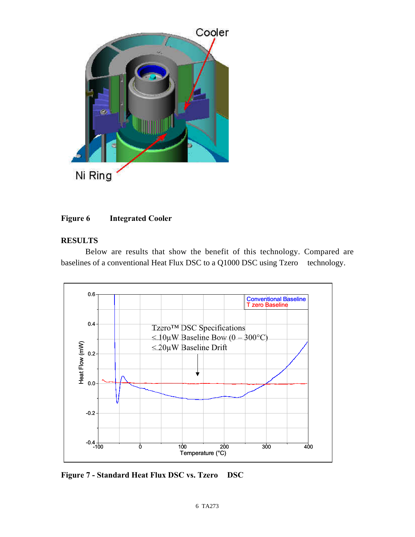

# **Figure 6 Integrated Cooler**

# **RESULTS**

Below are results that show the benefit of this technology. Compared are baselines of a conventional Heat Flux DSC to a  $Q1000$  DSC using Tzero<sup>TM</sup> technology.



Figure 7 - Standard Heat Flux DSC vs. Tzero<sup>™</sup> DSC